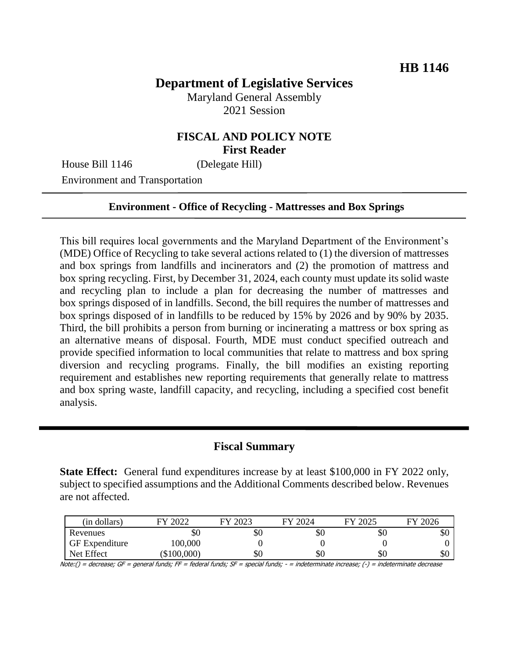# **Department of Legislative Services**

Maryland General Assembly 2021 Session

### **FISCAL AND POLICY NOTE First Reader**

House Bill 1146 (Delegate Hill)

Environment and Transportation

#### **Environment - Office of Recycling - Mattresses and Box Springs**

This bill requires local governments and the Maryland Department of the Environment's (MDE) Office of Recycling to take several actions related to (1) the diversion of mattresses and box springs from landfills and incinerators and (2) the promotion of mattress and box spring recycling. First, by December 31, 2024, each county must update its solid waste and recycling plan to include a plan for decreasing the number of mattresses and box springs disposed of in landfills. Second, the bill requires the number of mattresses and box springs disposed of in landfills to be reduced by 15% by 2026 and by 90% by 2035. Third, the bill prohibits a person from burning or incinerating a mattress or box spring as an alternative means of disposal. Fourth, MDE must conduct specified outreach and provide specified information to local communities that relate to mattress and box spring diversion and recycling programs. Finally, the bill modifies an existing reporting requirement and establishes new reporting requirements that generally relate to mattress and box spring waste, landfill capacity, and recycling, including a specified cost benefit analysis.

#### **Fiscal Summary**

**State Effect:** General fund expenditures increase by at least \$100,000 in FY 2022 only, subject to specified assumptions and the Additional Comments described below. Revenues are not affected.

| (in dollars)          | 2022      | 2023<br>СV | FY 2024 | FY 2025 | FY 2026 |
|-----------------------|-----------|------------|---------|---------|---------|
| Revenues              | 50        | ъU         | \$0     | \$0     | JО      |
| <b>GF</b> Expenditure | 100,000   |            |         |         |         |
| Net Effect            | \$100,000 | УU         | \$0     | \$0     | эU      |

Note:() = decrease; GF = general funds; FF = federal funds; SF = special funds; - = indeterminate increase; (-) = indeterminate decrease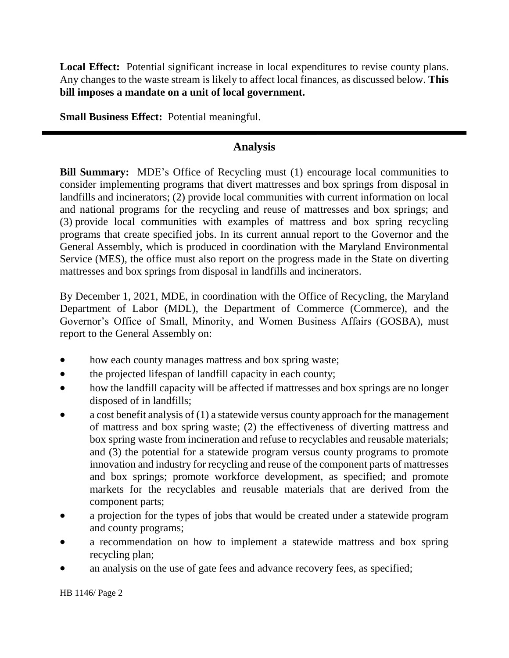**Local Effect:** Potential significant increase in local expenditures to revise county plans. Any changes to the waste stream is likely to affect local finances, as discussed below. **This bill imposes a mandate on a unit of local government.**

**Small Business Effect:** Potential meaningful.

## **Analysis**

**Bill Summary:** MDE's Office of Recycling must (1) encourage local communities to consider implementing programs that divert mattresses and box springs from disposal in landfills and incinerators; (2) provide local communities with current information on local and national programs for the recycling and reuse of mattresses and box springs; and (3) provide local communities with examples of mattress and box spring recycling programs that create specified jobs. In its current annual report to the Governor and the General Assembly, which is produced in coordination with the Maryland Environmental Service (MES), the office must also report on the progress made in the State on diverting mattresses and box springs from disposal in landfills and incinerators.

By December 1, 2021, MDE, in coordination with the Office of Recycling, the Maryland Department of Labor (MDL), the Department of Commerce (Commerce), and the Governor's Office of Small, Minority, and Women Business Affairs (GOSBA), must report to the General Assembly on:

- how each county manages mattress and box spring waste;
- the projected lifespan of landfill capacity in each county;
- how the landfill capacity will be affected if mattresses and box springs are no longer disposed of in landfills;
- a cost benefit analysis of (1) a statewide versus county approach for the management of mattress and box spring waste; (2) the effectiveness of diverting mattress and box spring waste from incineration and refuse to recyclables and reusable materials; and (3) the potential for a statewide program versus county programs to promote innovation and industry for recycling and reuse of the component parts of mattresses and box springs; promote workforce development, as specified; and promote markets for the recyclables and reusable materials that are derived from the component parts;
- a projection for the types of jobs that would be created under a statewide program and county programs;
- a recommendation on how to implement a statewide mattress and box spring recycling plan;
- an analysis on the use of gate fees and advance recovery fees, as specified;

HB 1146/ Page 2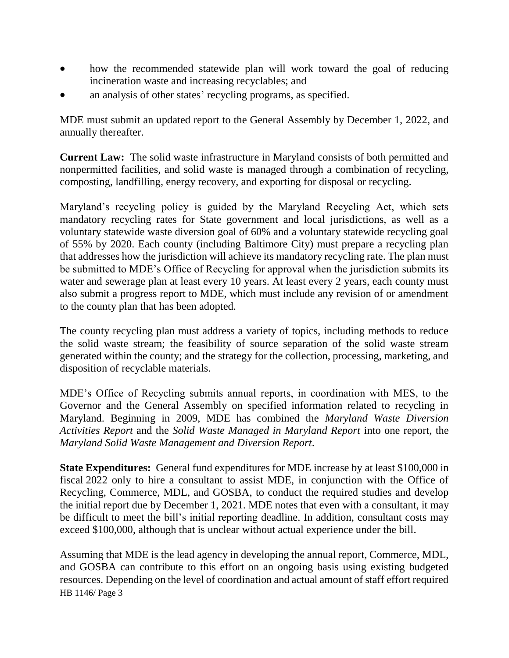- how the recommended statewide plan will work toward the goal of reducing incineration waste and increasing recyclables; and
- an analysis of other states' recycling programs, as specified.

MDE must submit an updated report to the General Assembly by December 1, 2022, and annually thereafter.

**Current Law:** The solid waste infrastructure in Maryland consists of both permitted and nonpermitted facilities, and solid waste is managed through a combination of recycling, composting, landfilling, energy recovery, and exporting for disposal or recycling.

Maryland's recycling policy is guided by the Maryland Recycling Act, which sets mandatory recycling rates for State government and local jurisdictions, as well as a voluntary statewide waste diversion goal of 60% and a voluntary statewide recycling goal of 55% by 2020. Each county (including Baltimore City) must prepare a recycling plan that addresses how the jurisdiction will achieve its mandatory recycling rate. The plan must be submitted to MDE's Office of Recycling for approval when the jurisdiction submits its water and sewerage plan at least every 10 years. At least every 2 years, each county must also submit a progress report to MDE, which must include any revision of or amendment to the county plan that has been adopted.

The county recycling plan must address a variety of topics, including methods to reduce the solid waste stream; the feasibility of source separation of the solid waste stream generated within the county; and the strategy for the collection, processing, marketing, and disposition of recyclable materials.

MDE's Office of Recycling submits annual reports, in coordination with MES, to the Governor and the General Assembly on specified information related to recycling in Maryland. Beginning in 2009, MDE has combined the *Maryland Waste Diversion Activities Report* and the *Solid Waste Managed in Maryland Report* into one report, the *Maryland Solid Waste Management and Diversion Report*.

**State Expenditures:** General fund expenditures for MDE increase by at least \$100,000 in fiscal 2022 only to hire a consultant to assist MDE, in conjunction with the Office of Recycling, Commerce, MDL, and GOSBA, to conduct the required studies and develop the initial report due by December 1, 2021. MDE notes that even with a consultant, it may be difficult to meet the bill's initial reporting deadline. In addition, consultant costs may exceed \$100,000, although that is unclear without actual experience under the bill.

HB 1146/ Page 3 Assuming that MDE is the lead agency in developing the annual report, Commerce, MDL, and GOSBA can contribute to this effort on an ongoing basis using existing budgeted resources. Depending on the level of coordination and actual amount of staff effort required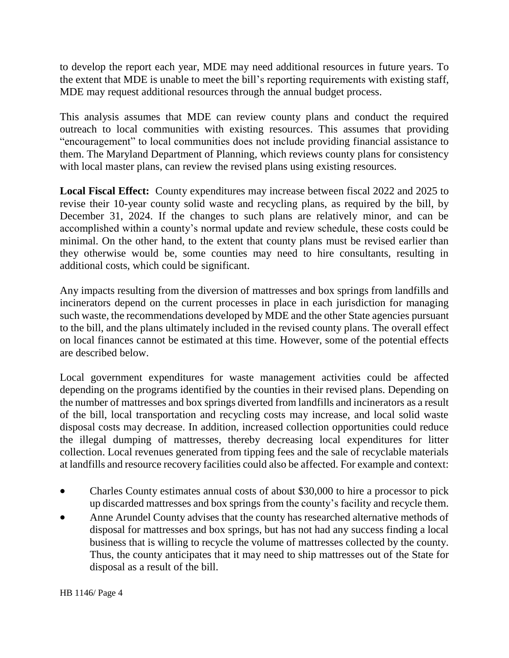to develop the report each year, MDE may need additional resources in future years. To the extent that MDE is unable to meet the bill's reporting requirements with existing staff, MDE may request additional resources through the annual budget process.

This analysis assumes that MDE can review county plans and conduct the required outreach to local communities with existing resources. This assumes that providing "encouragement" to local communities does not include providing financial assistance to them. The Maryland Department of Planning, which reviews county plans for consistency with local master plans, can review the revised plans using existing resources.

**Local Fiscal Effect:** County expenditures may increase between fiscal 2022 and 2025 to revise their 10-year county solid waste and recycling plans, as required by the bill, by December 31, 2024. If the changes to such plans are relatively minor, and can be accomplished within a county's normal update and review schedule, these costs could be minimal. On the other hand, to the extent that county plans must be revised earlier than they otherwise would be, some counties may need to hire consultants, resulting in additional costs, which could be significant.

Any impacts resulting from the diversion of mattresses and box springs from landfills and incinerators depend on the current processes in place in each jurisdiction for managing such waste, the recommendations developed by MDE and the other State agencies pursuant to the bill, and the plans ultimately included in the revised county plans. The overall effect on local finances cannot be estimated at this time. However, some of the potential effects are described below.

Local government expenditures for waste management activities could be affected depending on the programs identified by the counties in their revised plans. Depending on the number of mattresses and box springs diverted from landfills and incinerators as a result of the bill, local transportation and recycling costs may increase, and local solid waste disposal costs may decrease. In addition, increased collection opportunities could reduce the illegal dumping of mattresses, thereby decreasing local expenditures for litter collection. Local revenues generated from tipping fees and the sale of recyclable materials at landfills and resource recovery facilities could also be affected. For example and context:

- Charles County estimates annual costs of about \$30,000 to hire a processor to pick up discarded mattresses and box springs from the county's facility and recycle them.
- Anne Arundel County advises that the county has researched alternative methods of disposal for mattresses and box springs, but has not had any success finding a local business that is willing to recycle the volume of mattresses collected by the county. Thus, the county anticipates that it may need to ship mattresses out of the State for disposal as a result of the bill.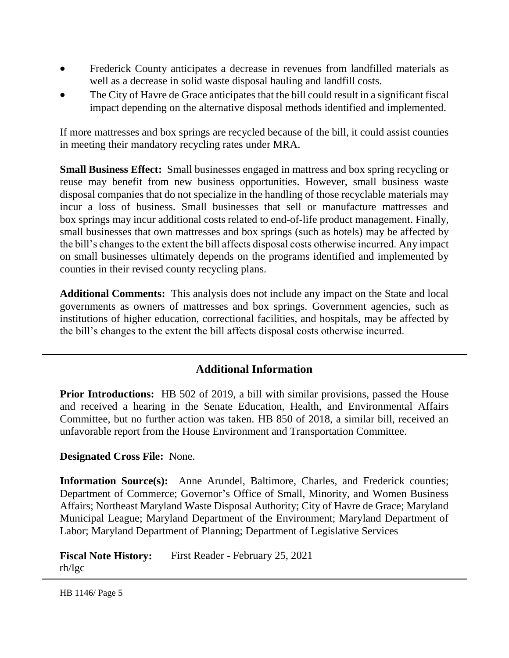- Frederick County anticipates a decrease in revenues from landfilled materials as well as a decrease in solid waste disposal hauling and landfill costs.
- The City of Havre de Grace anticipates that the bill could result in a significant fiscal impact depending on the alternative disposal methods identified and implemented.

If more mattresses and box springs are recycled because of the bill, it could assist counties in meeting their mandatory recycling rates under MRA.

**Small Business Effect:** Small businesses engaged in mattress and box spring recycling or reuse may benefit from new business opportunities. However, small business waste disposal companies that do not specialize in the handling of those recyclable materials may incur a loss of business. Small businesses that sell or manufacture mattresses and box springs may incur additional costs related to end-of-life product management. Finally, small businesses that own mattresses and box springs (such as hotels) may be affected by the bill's changes to the extent the bill affects disposal costs otherwise incurred. Any impact on small businesses ultimately depends on the programs identified and implemented by counties in their revised county recycling plans.

**Additional Comments:** This analysis does not include any impact on the State and local governments as owners of mattresses and box springs. Government agencies, such as institutions of higher education, correctional facilities, and hospitals, may be affected by the bill's changes to the extent the bill affects disposal costs otherwise incurred.

## **Additional Information**

**Prior Introductions:** HB 502 of 2019, a bill with similar provisions, passed the House and received a hearing in the Senate Education, Health, and Environmental Affairs Committee, but no further action was taken. HB 850 of 2018, a similar bill, received an unfavorable report from the House Environment and Transportation Committee.

#### **Designated Cross File:** None.

**Information Source(s):** Anne Arundel, Baltimore, Charles, and Frederick counties; Department of Commerce; Governor's Office of Small, Minority, and Women Business Affairs; Northeast Maryland Waste Disposal Authority; City of Havre de Grace; Maryland Municipal League; Maryland Department of the Environment; Maryland Department of Labor; Maryland Department of Planning; Department of Legislative Services

**Fiscal Note History:** First Reader - February 25, 2021 rh/lgc